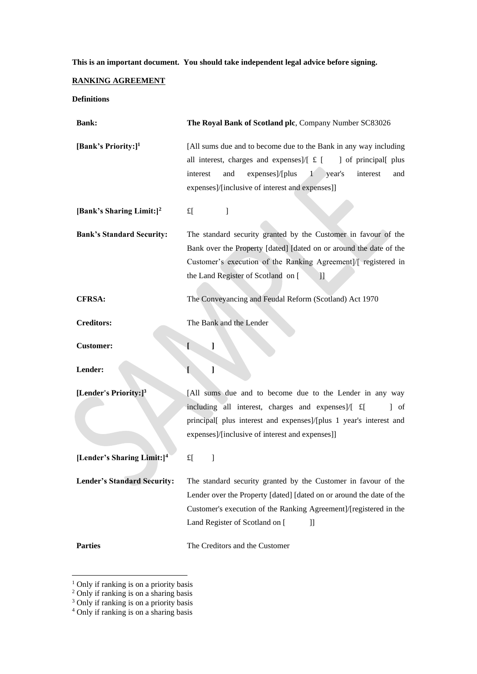# **This is an important document. You should take independent legal advice before signing.**

## **RANKING AGREEMENT**

## **Definitions**

| <b>Bank:</b>                           | The Royal Bank of Scotland plc, Company Number SC83026                                                                                                                                                                                                                        |
|----------------------------------------|-------------------------------------------------------------------------------------------------------------------------------------------------------------------------------------------------------------------------------------------------------------------------------|
| [Bank's Priority:] <sup>1</sup>        | [All sums due and to become due to the Bank in any way including<br>all interest, charges and expenses]/ $\lceil \pounds \rceil$<br>of principal plus<br>expenses]/[plus 1<br>interest<br>and<br>year's<br>interest<br>and<br>expenses]/[inclusive of interest and expenses]] |
| [Bank's Sharing Limit:] <sup>2</sup>   | $f_{\rm L}$<br>1                                                                                                                                                                                                                                                              |
| <b>Bank's Standard Security:</b>       | The standard security granted by the Customer in favour of the<br>Bank over the Property [dated] [dated on or around the date of the<br>Customer's execution of the Ranking Agreement]/[ registered in<br>the Land Register of Scotland on [<br>П                             |
| <b>CFRSA:</b>                          | The Conveyancing and Feudal Reform (Scotland) Act 1970                                                                                                                                                                                                                        |
| <b>Creditors:</b>                      | The Bank and the Lender                                                                                                                                                                                                                                                       |
| <b>Customer:</b>                       | ſ<br>J                                                                                                                                                                                                                                                                        |
| Lender:                                | L<br>1                                                                                                                                                                                                                                                                        |
| [Lender's Priority:] <sup>3</sup>      | [All sums due and to become due to the Lender in any way<br>including all interest, charges and expenses]/[ £[<br>$\vert$ of<br>principal[ plus interest and expenses]/[plus 1 year's interest and<br>expenses]/[inclusive of interest and expenses]]                         |
| [Lender's Sharing Limit:] <sup>4</sup> | $f_{\rm L}$<br>1                                                                                                                                                                                                                                                              |
| <b>Lender's Standard Security:</b>     | The standard security granted by the Customer in favour of the<br>Lender over the Property [dated] [dated on or around the date of the<br>Customer's execution of the Ranking Agreement]/[registered in the<br>Land Register of Scotland on [<br>П                            |
| <b>Parties</b>                         | The Creditors and the Customer                                                                                                                                                                                                                                                |

 $<sup>1</sup>$  Only if ranking is on a priority basis</sup>

<sup>2</sup> Only if ranking is on a sharing basis

<sup>&</sup>lt;sup>3</sup> Only if ranking is on a priority basis

<sup>4</sup> Only if ranking is on a sharing basis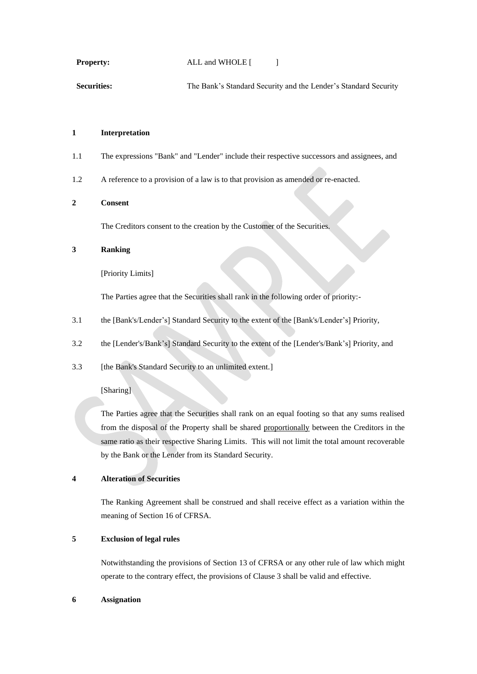#### **Property:** ALL and WHOLE [ ]

Securities: The Bank's Standard Security and the Lender's Standard Security

#### **1 Interpretation**

- 1.1 The expressions "Bank" and "Lender" include their respective successors and assignees, and
- 1.2 A reference to a provision of a law is to that provision as amended or re-enacted.

## **2 Consent**

The Creditors consent to the creation by the Customer of the Securities.

# **3 Ranking**

[Priority Limits]

The Parties agree that the Securities shall rank in the following order of priority:-

- 3.1 the [Bank's/Lender's] Standard Security to the extent of the [Bank's/Lender's] Priority,
- 3.2 the [Lender's/Bank's] Standard Security to the extent of the [Lender's/Bank's] Priority, and
- 3.3 [the Bank's Standard Security to an unlimited extent.]

#### [Sharing]

The Parties agree that the Securities shall rank on an equal footing so that any sums realised from the disposal of the Property shall be shared proportionally between the Creditors in the same ratio as their respective Sharing Limits. This will not limit the total amount recoverable by the Bank or the Lender from its Standard Security.

## **4 Alteration of Securities**

The Ranking Agreement shall be construed and shall receive effect as a variation within the meaning of Section 16 of CFRSA.

# **5 Exclusion of legal rules**

Notwithstanding the provisions of Section 13 of CFRSA or any other rule of law which might operate to the contrary effect, the provisions of Clause 3 shall be valid and effective.

### **6 Assignation**